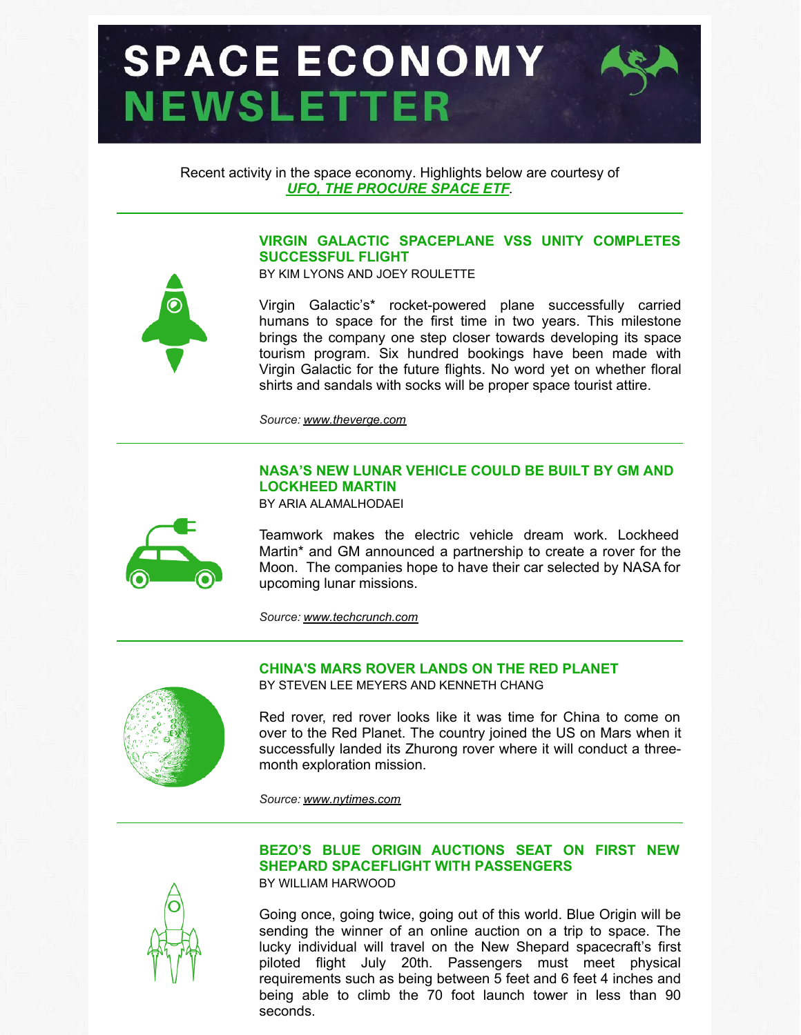# **SPACE ECONOMY NEWSLETTER**



Recent activity in the space economy. Highlights below are courtesy of *UFO, THE [PROCURE](https://procureetfs.com/ufo/) SPACE ETF*.

# **VIRGIN GALACTIC SPACEPLANE VSS UNITY COMPLETES SUCCESSFUL FLIGHT**

BY KIM LYONS AND JOEY ROULETTE

Virgin Galactic's\* rocket-powered plane successfully carried humans to space for the first time in two years. This milestone brings the company one step closer towards developing its space tourism program. Six hundred bookings have been made with Virgin Galactic for the future flights. No word yet on whether floral shirts and sandals with socks will be proper space tourist attire.

*Source: [www.theverge.com](http://www.theverge.com)*

# **NASA'S NEW LUNAR VEHICLE COULD BE BUILT BY GM AND LOCKHEED MARTIN**

BY ARIA ALAMALHODAEI



Teamwork makes the electric vehicle dream work. Lockheed Martin\* and GM announced a partnership to create a rover for the Moon. The companies hope to have their car selected by NASA for upcoming lunar missions.

*Source: [www.techcrunch.com](http://www.techcrunch.com)*



### **CHINA'S MARS ROVER LANDS ON THE RED PLANET** BY STEVEN LEE MEYERS AND KENNETH CHANG

Red rover, red rover looks like it was time for China to come on over to the Red Planet. The country joined the US on Mars when it successfully landed its Zhurong rover where it will conduct a threemonth exploration mission.

*Source: [www.nytimes.com](http://www.nytimes.com)*



**BEZO'S BLUE ORIGIN AUCTIONS SEAT ON FIRST NEW SHEPARD SPACEFLIGHT WITH PASSENGERS** BY WILLIAM HARWOOD

Going once, going twice, going out of this world. Blue Origin will be sending the winner of an online auction on a trip to space. The lucky individual will travel on the New Shepard spacecraft's first piloted flight July 20th. Passengers must meet physical requirements such as being between 5 feet and 6 feet 4 inches and being able to climb the 70 foot launch tower in less than 90 seconds.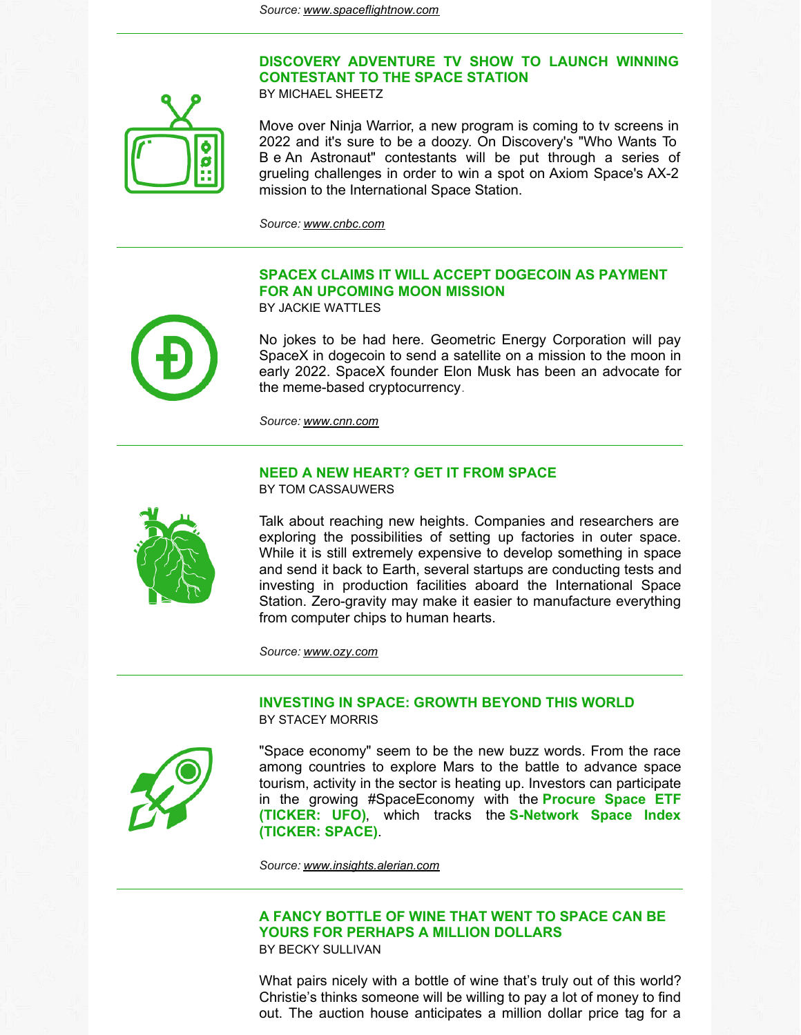



Move over Ninja Warrior, a new program is coming to tv screens in 2022 and it's sure to be a doozy. On Discovery's "Who Wants To B e An Astronaut" contestants will be put through a series of grueling challenges in order to win a spot on Axiom Space's AX-2 mission to the International Space Station.

*Source: [www.cnbc.com](http://www.cnbc.com)*

# **SPACEX CLAIMS IT WILL ACCEPT DOGECOIN AS PAYMENT FOR AN UPCOMING MOON MISSION**

BY JACKIE WATTLES



No jokes to be had here. Geometric Energy Corporation will pay SpaceX in dogecoin to send a satellite on a mission to the moon in early 2022. SpaceX founder Elon Musk has been an advocate for the meme-based cryptocurrency.

*Source: [www.cnn.com](http://www.cnn.com)*

#### **NEED A NEW HEART? GET IT FROM SPACE** BY TOM CASSAUWERS



Talk about reaching new heights. Companies and researchers are exploring the possibilities of setting up factories in outer space. While it is still extremely expensive to develop something in space and send it back to Earth, several startups are conducting tests and investing in production facilities aboard the International Space Station. Zero-gravity may make it easier to manufacture everything from computer chips to human hearts.

*Source: [www.ozy.com](http://www.ozy.com)*

## **INVESTING IN SPACE: GROWTH BEYOND THIS WORLD** BY STACEY MORRIS



"Space economy" seem to be the new buzz words. From the race among countries to explore Mars to the battle to advance space tourism, activity in the sector is heating up. Investors can participate in the growing [#SpaceEconomy](https://procureetfs.com/ufo/) with the **Procure Space ETF (TICKER: UFO)**, which tracks the **[S-Network](https://snetworkglobalindexes.com/indexes/the-s-network-space-index) Space Index (TICKER: SPACE)**.

*Source: [www.insights.alerian.com](https://insights.alerian.com/)*

## **A FANCY BOTTLE OF WINE THAT WENT TO SPACE CAN BE YOURS FOR PERHAPS A MILLION DOLLARS** BY BECKY SULLIVAN

What pairs nicely with a bottle of wine that's truly out of this world? Christie's thinks someone will be willing to pay a lot of money to find out. The auction house anticipates a million dollar price tag for a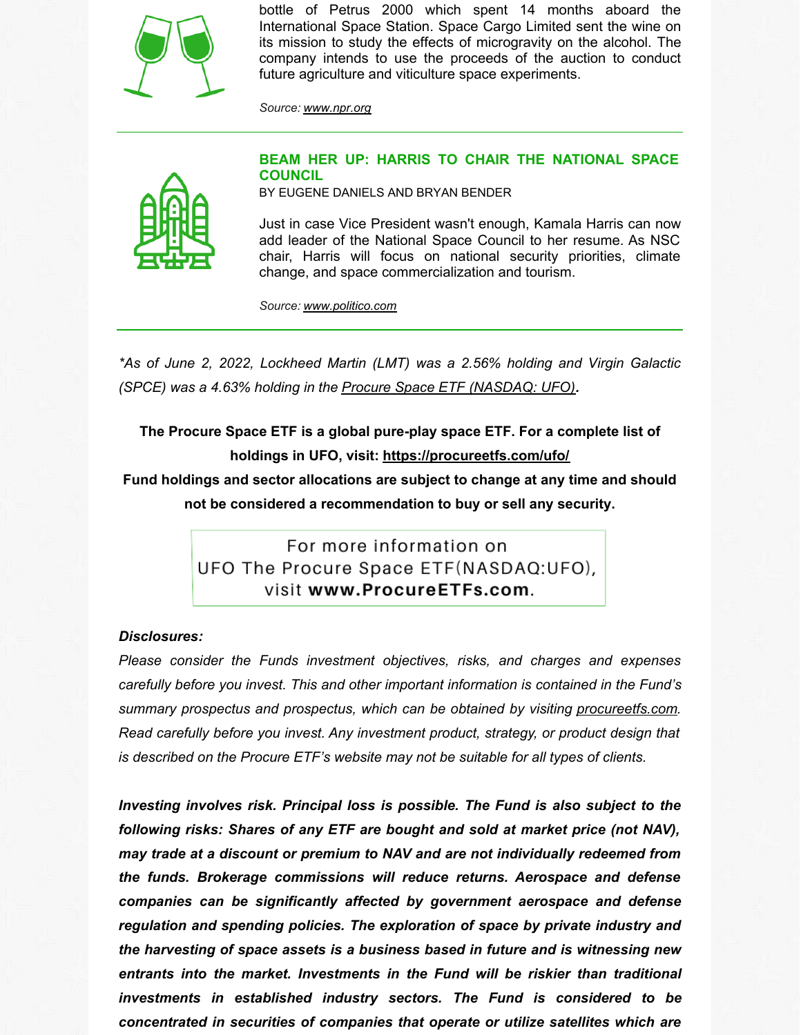

bottle of Petrus 2000 which spent 14 months aboard the International Space Station. Space Cargo Limited sent the wine on its mission to study the effects of microgravity on the alcohol. The company intends to use the proceeds of the auction to conduct future agriculture and viticulture space experiments.

*Source: [www.npr.org](http://www.npr.org)*



# **BEAM HER UP: HARRIS TO CHAIR THE NATIONAL SPACE COUNCIL**

BY EUGENE DANIELS AND BRYAN BENDER

Just in case Vice President wasn't enough, Kamala Harris can now add leader of the National Space Council to her resume. As NSC chair, Harris will focus on national security priorities, climate change, and space commercialization and tourism.

*Source: [www.politico.com](http://www.politico.com)*

*\*As of June 2, 2022, Lockheed Martin (LMT) was a 2.56% holding and Virgin Galactic (SPCE) was a 4.63% holding in the Procure Space ETF [\(NASDAQ:](https://procureetfs.com/ufo/) UFO).*

**The Procure Space ETF is a global pure-play space ETF. For a complete list of holdings in UFO, visit: <https://procureetfs.com/ufo/>**

**Fund holdings and sector allocations are subject to change at any time and should not be considered a recommendation to buy or sell any security.**

> For more information on UFO The Procure Space ETF(NASDAQ:UFO), visit www.ProcureETFs.com.

## *Disclosures:*

*Please consider the Funds investment objectives, risks, and charges and expenses carefully before you invest. This and other important information is contained in the Fund's summary prospectus and prospectus, which can be obtained by visiting [procureetfs.com](http://procureetfs.com). Read carefully before you invest. Any investment product, strategy, or product design that is described on the Procure ETF's website may not be suitable for all types of clients.*

*Investing involves risk. Principal loss is possible. The Fund is also subject to the following risks: Shares of any ETF are bought and sold at market price (not NAV), may trade at a discount or premium to NAV and are not individually redeemed from the funds. Brokerage commissions will reduce returns. Aerospace and defense companies can be significantly affected by government aerospace and defense regulation and spending policies. The exploration of space by private industry and the harvesting of space assets is a business based in future and is witnessing new entrants into the market. Investments in the Fund will be riskier than traditional investments in established industry sectors. The Fund is considered to be concentrated in securities of companies that operate or utilize satellites which are*